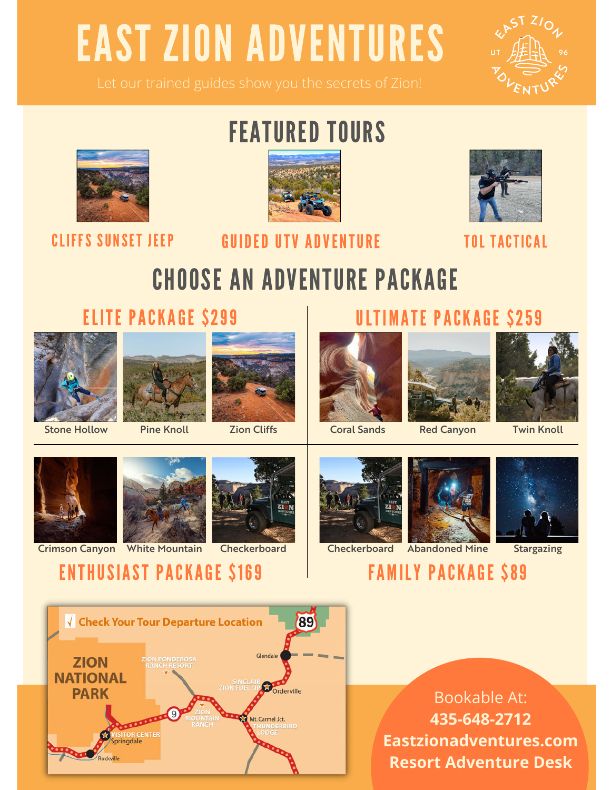# EAST ZION ADVENTURES





# FEATURED TOURS



## CLIFFS SUNSET JEEP GUIDED UTV ADVENTURE TOL TACTICAL



## CHOOSE AN ADVENTURE PACKAGE

ELITE PACKAGE \$299 ULTIMATE PACKAGE \$259









Stone Hollow Pine Knoll Zion Cliffs | Coral Sands Red Canyon Twin Knoll



Crimson Canyon White Mountain Checkerboard











Ison Canyon White Mountain Checkerboard Checkerboard Abandoned Mine Stargazing<br> **ENTHUSIAST PACKAGE \$169** FAMILY PACKAGE \$89

√ Check Your Tour Departure Location 89 **ZION PONDEROSA ZION NATIONAL** Orderville **PARK** Mt. Carmel Jct. VISITOR CENTE<br>Springdale Rockville

Bookable At: **435-648-2712 Eastzionadventures.com Resort Adventure Desk**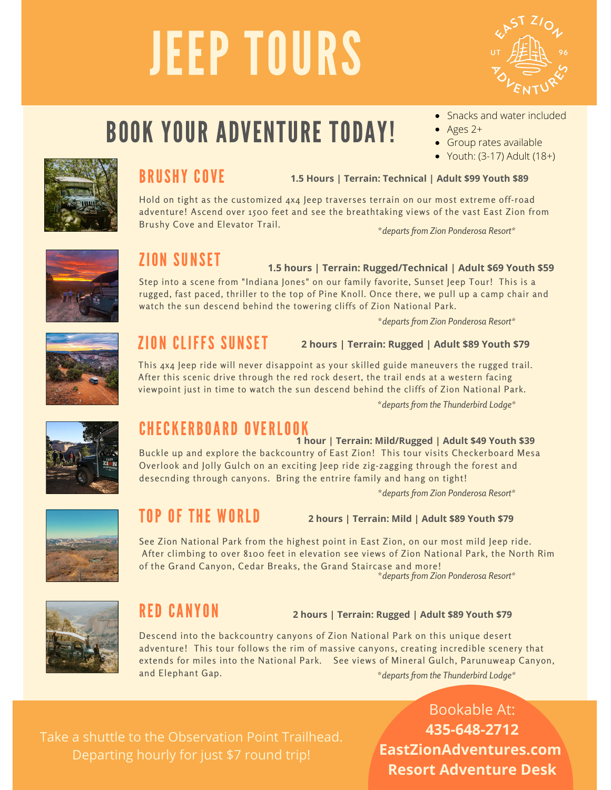# JEEP TOURS



## BOOK YOUR ADVENTURE TODAY!

- Snacks and water included
- $\bullet$  Ages 2+
- **Group rates available**
- $\bullet$  Youth: (3-17) Adult (18+)



## BRUSHY COVE

**1.5 Hours | Terrain: Technical | Adult \$99 Youth \$89**

Hold on tight as the customized 4x4 Jeep traverses terrain on our most extreme off-road adventure! Ascend over 1500 feet and see the breathtaking views of the vast East Zion from Brushy Cove and Elevator Trail.

\**departs from Zion Ponderosa Resort\**



## **ZION SUNSET**

### **1.5 hours | Terrain: Rugged/Technical | Adult \$69 Youth \$59**

Step into a scene from "Indiana Jones" on our family favorite, Sunset Jeep Tour! This is a rugged, fast paced, thriller to the top of Pine Knoll. Once there, we pull up a camp chair and watch the sun descend behind the towering cliffs of Zion National Park.

\**departs from Zion Ponderosa Resort\**



## **ZION CLIFFS SUNSET**

**2 hours | Terrain: Rugged | Adult \$89 Youth \$79**

This 4x4 Jeep ride will never disappoint as your skilled guide maneuvers the rugged trail. After this scenic drive through the red rock desert, the trail ends at a western facing viewpoint just in time to watch the sun descend behind the cliffs of Zion National Park.

\**departs from the Thunderbird Lodge\**



## **CHECKERBOARD OVERLOOK**

## **1 hour | Terrain: Mild/Rugged | Adult \$49 Youth \$39**

Buckle up and explore the backcountry of East Zion! This tour visits Checkerboard Mesa Overlook and Jolly Gulch on an exciting Jeep ride zig-zagging through the forest and desecnding through canyons. Bring the entrire family and hang on tight!

\**departs from Zion Ponderosa Resort\**



## TOP OF THE WORLD

**2 hours | Terrain: Mild | Adult \$89 Youth \$79**

See Zion National Park from the highest point in East Zion, on our most mild Jeep ride. After climbing to over 8100 feet in elevation see views of Zion National Park, the North Rim of the Grand Canyon, Cedar Breaks, the Grand Staircase and more! \**departs from Zion Ponderosa Resort\**



## RED CANYON

## **2 hours | Terrain: Rugged | Adult \$89 Youth \$79**

Descend into the backcountry canyons of Zion National Park on this unique desert adventure! This tour follows the rim of massive canyons, creating incredible scenery that extends for miles into the National Park. See views of Mineral Gulch, Parunuweap Canyon, and Elephant Gap. \**departs from the Thunderbird Lodge\**

Take a shuttle to the Observation Point Trailhead. Departing hourly for just \$7 round trip!

Bookable At: **435-648-2712 EastZionAdventures.com Resort Adventure Desk**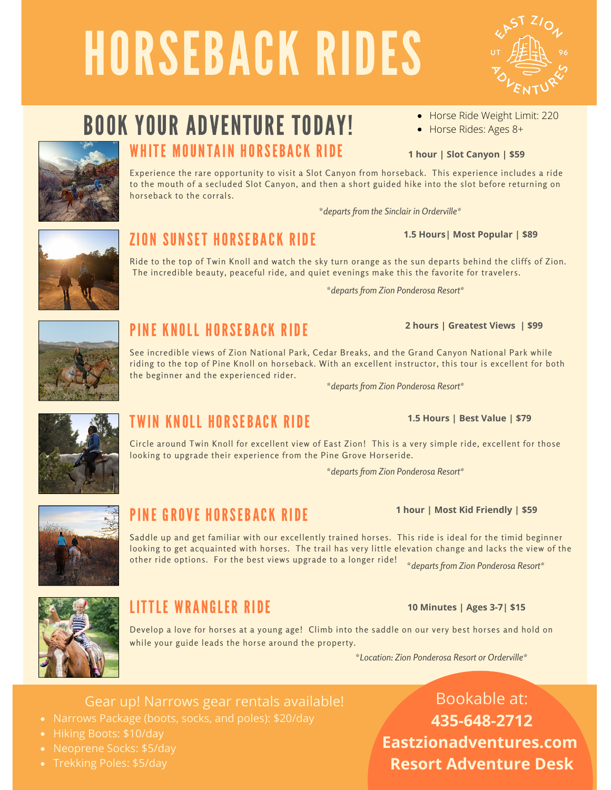# HORSEBACK RIDES

# BOOK YOUR ADVENTURE TODAY!

WHITE MOUNTAIN HORSEBACK RIDE

Experience the rare opportunity to visit a Slot Canyon from horseback. This experience includes a ride to the mouth of a secluded Slot Canyon, and then a short guided hike into the slot before returning on horseback to the corrals.

\**departs from the Sinclair in Orderville\**

### **1.5 Hours| Most Popular | \$89**

• Horse Rides: Ages 8+

**1 hour | Slot Canyon | \$59**

Ride to the top of Twin Knoll and watch the sky turn orange as the sun departs behind the cliffs of Zion. The incredible beauty, peaceful ride, and quiet evenings make this the favorite for travelers.

\**departs from Zion Ponderosa Resort\**



## PINE KNOLL HORSEBACK RIDE

See incredible views of Zion National Park, Cedar Breaks, and the Grand Canyon National Park while riding to the top of Pine Knoll on horseback. With an excellent instructor, this tour is excellent for both the beginner and the experienced rider.

\**departs from Zion Ponderosa Resort\**



## TWIN KNOLL HORSEBACK RIDE

Circle around Twin Knoll for excellent view of East Zion! This is a very simple ride, excellent for those looking to upgrade their experience from the Pine Grove Horseride.

\**departs from Zion Ponderosa Resort\**



## PINF GROVE HORSEBACK RIDE

Saddle up and get familiar with our excellently trained horses. This ride is ideal for the timid beginner looking to get acquainted with horses. The trail has very little elevation change and lacks the view of the other ride options. For the best views upgrade to a longer ride! \**departs from Zion Ponderosa Resort\**



## **LITTLE WRANGLER RIDE**

Develop a love for horses at a young age! Climb into the saddle on our very best horses and hold on while your guide leads the horse around the property.

\**Location: Zion Ponderosa Resort or Orderville\**

## Gear up! Narrows gear rentals available!

- Narrows Package (boots, socks, and poles): \$20/day
- Hiking Boots: \$10/day
- Neoprene Socks: \$5/day
- Trekking Poles: \$5/day

Bookable at: **435-648-2712 Eastzionadventures.com Resort Adventure Desk**





## **ZION SUNSET HORSEBACK RIDE**

## **2 hours | Greatest Views | \$99**



**1.5 Hours | Best Value | \$79**

**1 hour | Most Kid Friendly | \$59**

**10 Minutes | Ages 3-7| \$15**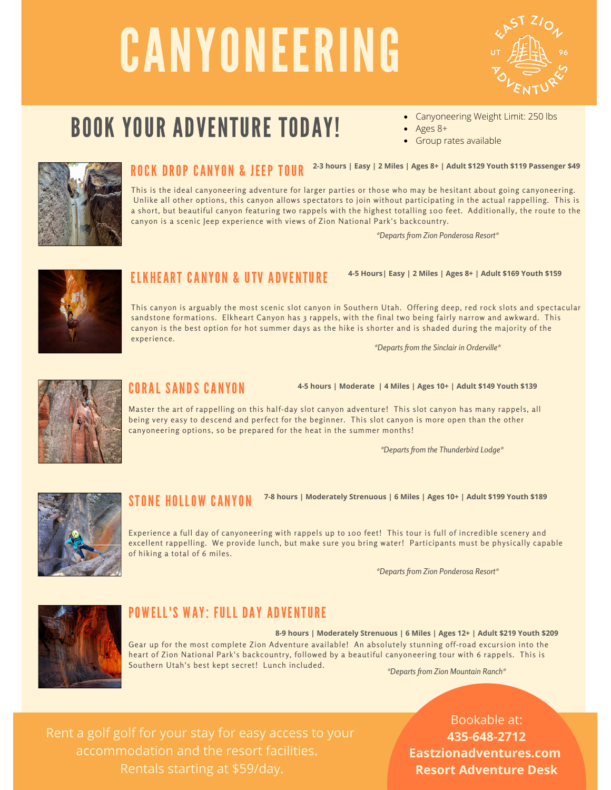# CANYONEERING



## BOOK YOUR ADVENTURE TODAY!

- Canyoneering Weight Limit: 250 lbs
- Ages 8+
- **Group rates available**



## **ROCK DROP CANYON & JEEP TOUR** <sup>2-3 hours | Easy | 2 Miles | Ages 8+ | Adult \$129 Youth \$119 Passenger \$49</sup>

This is the ideal canyoneering adventure for larger parties or those who may be hesitant about going canyoneering. Unlike all other options, this canyon allows spectators to join without participating in the actual rappelling. This is a short, but beautiful canyon featuring two rappels with the highest totalling 100 feet. Additionally, the route to the canyon is a scenic Jeep experience with views of Zion National Park's backcountry.

*\*Departs from Zion Ponderosa Resort\**



## **FIKHFART CANYON & UTV ADVENTURF**

**4-5 Hours| Easy | 2 Miles | Ages 8+ | Adult \$169 Youth \$159**

This canyon is arguably the most scenic slot canyon in Southern Utah. Offering deep, red rock slots and spectacular sandstone formations. Elkheart Canyon has 3 rappels, with the final two being fairly narrow and awkward. This canyon is the best option for hot summer days as the hike is shorter and is shaded during the majority of the experience.

*\*Departs from the Sinclair in Orderville\**



## **CORAL SANDS CANYON**

**4-5 hours | Moderate | 4 Miles | Ages 10+ | Adult \$149 Youth \$139**

Master the art of rappelling on this half-day slot canyon adventure! This slot canyon has many rappels, all being very easy to descend and perfect for the beginner. This slot canyon is more open than the other canyoneering options, so be prepared for the heat in the summer months!

*\*Departs from the Thunderbird Lodge\**



### STONE HOLLOW CANYON **7-8 hours | Moderately Strenuous | 6 Miles | Ages 10+ | Adult \$199 Youth \$189**

Experience a full day of canyoneering with rappels up to 100 feet! This tour is full of incredible scenery and excellent rappelling. We provide lunch, but make sure you bring water! Participants must be physically capable of hiking a total of 6 miles.

*\*Departs from the Sinclair in Orderville\* \*Departs from Zion Ponderosa Resort\**



## POWELL'S WAY: FULL DAY ADVENTURE

Gear up for the most complete Zion Adventure available! An absolutely stunning off-road excursion into the heart of Zion National Park's backcountry, followed by a beautiful canyoneering tour with 6 rappels. This is Southern Utah's best kept secret! Lunch included. **8-9 hours | Moderately Strenuous | 6 Miles | Ages 12+ | Adult \$219 Youth \$209**

*\*Departs from Zion Mountain Ranch\**

accommodation and the resort facilities.

Bookable at: **435-648-2712 Eastzionadventures.com Resort Adventure Desk**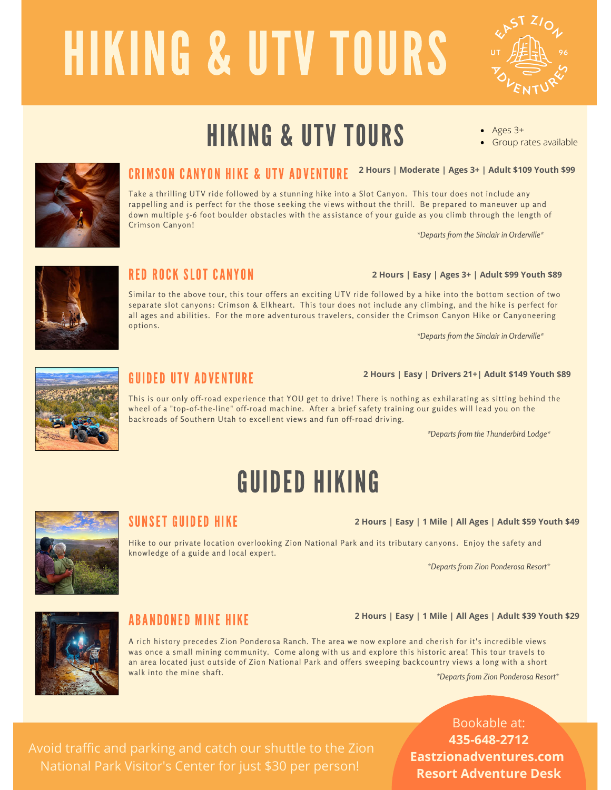# HIKING & UTV TOURS



Group rates available

Ages 3+

## HIKING & UTV TOURS



## CRIMSON CANYON HIKE & UTV ADVENTURE <sup>2 Hours</sup> | Moderate | Ages 3+ | Adult \$109 Youth \$99

Take a thrilling UTV ride followed by a stunning hike into a Slot Canyon. This tour does not include any rappelling and is perfect for the those seeking the views without the thrill. Be prepared to maneuver up and down multiple 5-6 foot boulder obstacles with the assistance of your guide as you climb through the length of Crimson Canyon!

*\*Departs from the Sinclair in Orderville\**

**2 Hours | Easy | Ages 3+ | Adult \$99 Youth \$89**

**2 Hours | Easy | Drivers 21+| Adult \$149 Youth \$89**



## RED ROCK SLOT CANYON

Similar to the above tour, this tour offers an exciting UTV ride followed by a hike into the bottom section of two separate slot canyons: Crimson & Elkheart. This tour does not include any climbing, and the hike is perfect for all ages and abilities. For the more adventurous travelers, consider the Crimson Canyon Hike or Canyoneering options.

*\*Departs from the Sinclair in Orderville\**



## GUIDED UTV ADVENTURE

This is our only off-road experience that YOU get to drive! There is nothing as exhilarating as sitting behind the wheel of a "top-of-the-line" off-road machine. After a brief safety training our guides will lead you on the backroads of Southern Utah to excellent views and fun off-road driving.

*\*Departs from the Thunderbird Lodge\**

## SUNSET GUIDED HIKE

Hike to our private location overlooking Zion National Park and its tributary canyons. Enjoy the safety and knowledge of a guide and local expert.

*\*Departs from the Sinclair in Orderville\* \*Departs from Zion Ponderosa Resort\**

**2 Hours | Easy | 1 Mile | All Ages | Adult \$59 Youth \$49**



## **ABANDONED MINE HIKE**

A rich history precedes Zion Ponderosa Ranch. The area we now explore and cherish for it's incredible views was once a small mining community. Come along with us and explore this historic area! This tour travels to an area located just outside of Zion National Park and offers sweeping backcountry views a long with a short walk into the mine shaft. *\*Departs from Zion Ponderosa Resort\**

## Bookable at: **435-648-2712 Eastzionadventures.com Resort Adventure Desk**

# Avoid traffic and parking and catch our shuttle to the Zion

**2 Hours | Easy | 1 Mile | All Ages | Adult \$39 Youth \$29**

GUIDED HIKING